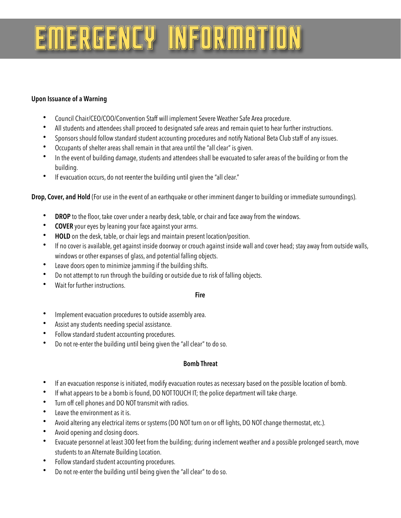## EMERGENCY INFORMATION

### **Upon Issuance of a Warning**

- Council Chair/CEO/COO/Convention Staff will implement Severe Weather Safe Area procedure.
- All students and attendees shall proceed to designated safe areas and remain quiet to hear further instructions.
- Sponsors should follow standard student accounting procedures and notify National Beta Club staff of any issues.
- Occupants of shelter areas shall remain in that area until the "all clear" is given.
- In the event of building damage, students and attendees shall be evacuated to safer areas of the building or from the building.
- If evacuation occurs, do not reenter the building until given the "all clear."

**Drop, Cover, and Hold** (For use in the event of an earthquake or other imminent danger to building or immediate surroundings).

- **DROP** to the floor, take cover under a nearby desk, table, or chair and face away from the windows.
- **COVER** your eyes by leaning your face against your arms.
- **HOLD** on the desk, table, or chair legs and maintain present location/position.
- If no cover is available, get against inside doorway or crouch against inside wall and cover head; stay away from outside walls, windows or other expanses of glass, and potential falling objects.
- Leave doors open to minimize jamming if the building shifts.
- Do not attempt to run through the building or outside due to risk of falling objects.
- Wait for further instructions.

#### **Fire**

- Implement evacuation procedures to outside assembly area.
- Assist any students needing special assistance.
- Follow standard student accounting procedures.
- Do not re-enter the building until being given the "all clear" to do so.

#### **Bomb Threat**

- If an evacuation response is initiated, modify evacuation routes as necessary based on the possible location of bomb.
- If what appears to be a bomb is found, DO NOT TOUCH IT; the police department will take charge.
- Turn off cell phones and DO NOT transmit with radios.
- Leave the environment as it is.
- Avoid altering any electrical items or systems (DO NOT turn on or off lights, DO NOT change thermostat, etc.).
- Avoid opening and closing doors.
- Evacuate personnel at least 300 feet from the building; during inclement weather and a possible prolonged search, move students to an Alternate Building Location.
- Follow standard student accounting procedures.
- Do not re-enter the building until being given the "all clear" to do so.